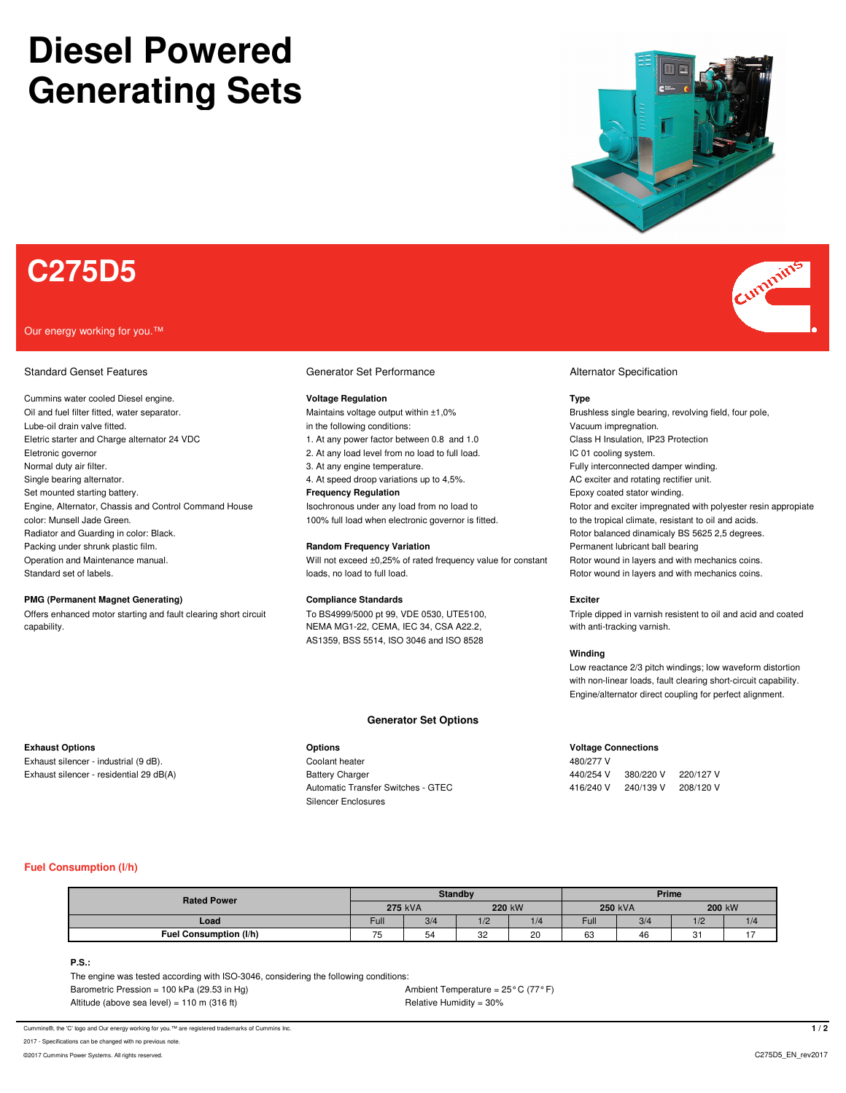# **Diesel Powered Generating Sets**



## **C275D5**

### Our energy working for you.™

### Standard Genset Features **Generator Set Performance Generator Set Performance** Alternator Specification

Cummins water cooled Diesel engine. **Voltage Regulation Type** Oil and fuel filter fitted, water separator. The state of the maintains voltage output within ±1,0% Brushless single bearing, revolving field, four pole, Lube-oil drain valve fitted. in the following conditions: vacuum impregnation. In the following conditions: Vacuum impregnation. Eletric starter and Charge alternator 24 VDC 1. At any power factor between 0.8 and 1.0 Class H Insulation, IP23 Protection Eletronic governor **Electronic governor** 2. At any load level from no load to full load. IC 01 cooling system. Normal duty air filter. The same state of the state of the state of the state of the SA any engine temperature. Single bearing alternator. **4. At speed droop variations up to 4,5%** AC exciter and rotating rectifier unit. Set mounted starting battery. **Frequency Regulation Frequency Regulation** Epoxy coated stator winding. color: Munsell Jade Green. **100% full load when electronic governor** is fitted. The tropical climate, resistant to oil and acids. Radiator and Guarding in color: Black. The Second Decision of the Second Decision of the Second Decision of the Second Decision of Rotor balanced dinamicaly BS 5625 2,5 degrees. Packing under shrunk plastic film. **Random Frequency Variation Random Frequency Variation** Permanent lubricant ball bearing Operation and Maintenance manual. The state of the state of the exceed ±0,25% of rated frequency value for constant Rotor wound in layers and with mechanics coins. Standard set of labels. Standard set of labels. In the channels coins. In loads, no load to full load. Coins in the Rotor wound in layers and with mechanics coins.

### **PMG (Permanent Magnet Generating) Compliance Standards Exciter**

capability. NEMA MG1-22, CEMA, IEC 34, CSA A22.2, with anti-tracking varnish.

AS1359, BSS 5514, ISO 3046 and ISO 8528

### **Generator Set Options**

Exhaust silencer - industrial (9 dB). Coolant heater 480/277 V Silencer Enclosures

Engine, Alternator, Chassis and Control Command House Isochronous under any load from no load to Rotor and exciter impregnated with polyester resin appropiate

Offers enhanced motor starting and fault clearing short circuit To BS4999/5000 pt 99, VDE 0530, UTE5100, Triple dipped in varnish resistent to oil and acid and coated

### **Winding**

Low reactance 2/3 pitch windings; low waveform distortion with non-linear loads, fault clearing short-circuit capability. Engine/alternator direct coupling for perfect alignment.

### **Exhaust Options Options Voltage Connections**

Exhaust silencer - residential 29 dB(A) <br>
Battery Charger 440/254 V 380/220 V 220/127 V Automatic Transfer Switches - GTEC 416/240 V 240/139 V 208/120 V

### **Fuel Consumption (l/h)**

| <b>Rated Power</b>     | <b>Standby</b> |     |              |     | Prime          |     |         |     |
|------------------------|----------------|-----|--------------|-----|----------------|-----|---------|-----|
|                        | <b>275 kVA</b> |     | 220 kW       |     | <b>250 kVA</b> |     | 200 kW  |     |
| Load                   | Ful            | 3/4 | 1/2          | 1/4 | Ful.           | 3/4 | 1/2     | 1/4 |
| Fuel Consumption (I/h) | --             | 54  | $\sim$<br>ےت | 20  | $\sim$<br>ხა   | 46  | C.<br>ັ |     |

### **P.S.:**

The engine was tested according with ISO-3046, considering the following conditions: Barometric Pression = 100 kPa (29.53 in Hg)  $\blacksquare$  Ambient Temperature = 25° C (77° F) Altitude (above sea level) =  $110 \text{ m}$  (316 ft)  $\blacksquare$  Relative Humidity =  $30\%$ 

Cummins®, the 'C' logo and Our energy working for you.<sup>7M</sup> are registered trademarks of Cummins Inc. **1 / 2** 

2017 - Specifications can be changed with no previ

©2017 Cummins Power Systems. All rights reserved. C275D5\_EN\_rev2017